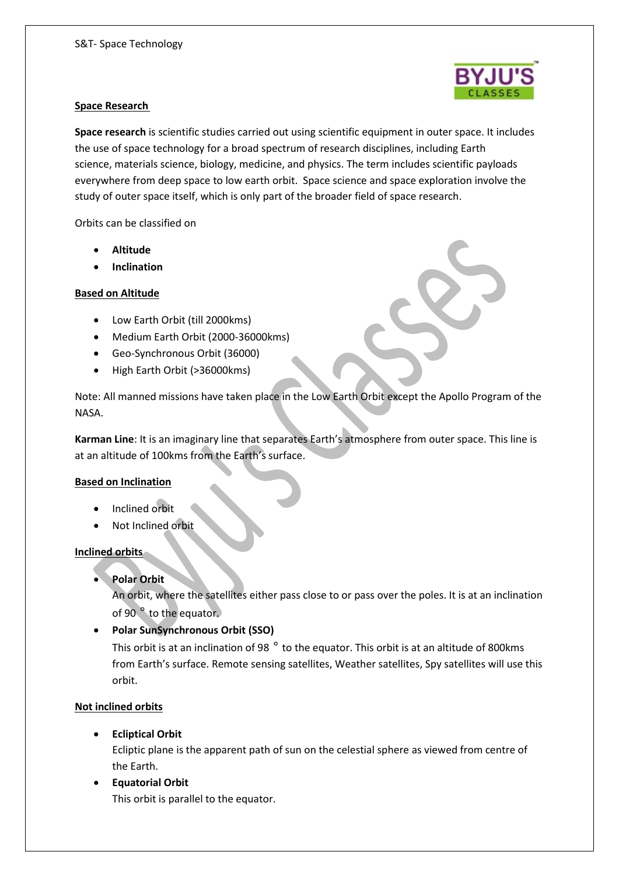

#### **Space Research**

**Space research** is scientific studies carried out using scientific equipment in outer space. It includes the use of space technology for a broad spectrum of research disciplines, including Earth science, materials science, biology, medicine, and physics. The term includes scientific payloads everywhere from deep space to low earth orbit. Space science and space exploration involve the study of outer space itself, which is only part of the broader field of space research.

Orbits can be classified on

- **Altitude**
- **Inclination**

## **Based on Altitude**

- Low Earth Orbit (till 2000kms)
- Medium Earth Orbit (2000-36000kms)
- Geo-Synchronous Orbit (36000)
- High Earth Orbit (>36000kms)

Note: All manned missions have taken place in the Low Earth Orbit except the Apollo Program of the NASA.

**Karman Line**: It is an imaginary line that separates Earth's atmosphere from outer space. This line is at an altitude of 100kms from the Earth's surface.

# **Based on Inclination**

- Inclined orbit
- Not Inclined orbit

#### **Inclined orbits**

**Polar Orbit**

An orbit, where the satellites either pass close to or pass over the poles. It is at an inclination of 90 ° to the equator.

**Polar SunSynchronous Orbit (SSO)**

This orbit is at an inclination of 98  $^{\circ}$  to the equator. This orbit is at an altitude of 800 kms from Earth's surface. Remote sensing satellites, Weather satellites, Spy satellites will use this orbit.

# **Not inclined orbits**

**Ecliptical Orbit**

Ecliptic plane is the apparent path of sun on the celestial sphere as viewed from centre of the Earth.

 **Equatorial Orbit** This orbit is parallel to the equator.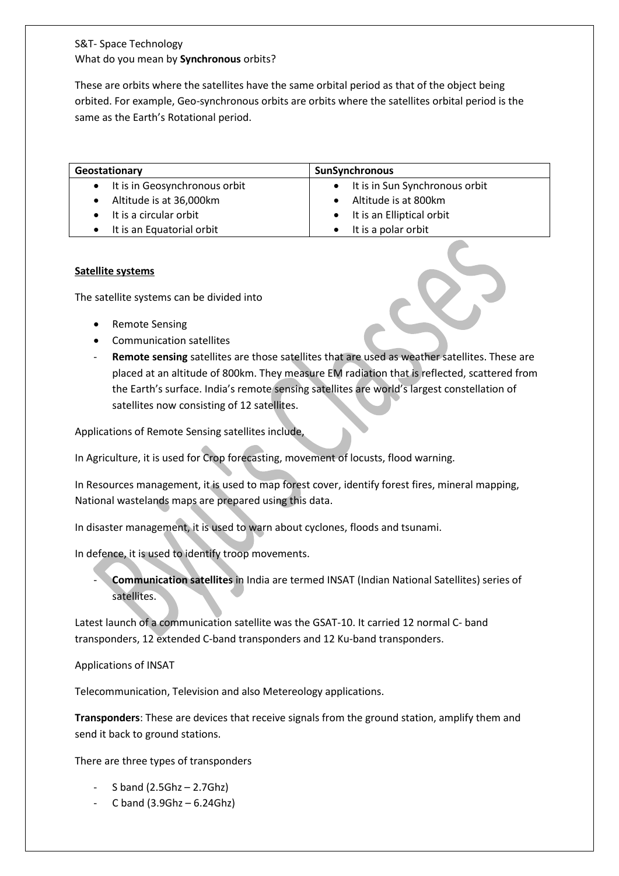# S&T- Space Technology What do you mean by **Synchronous** orbits?

These are orbits where the satellites have the same orbital period as that of the object being orbited. For example, Geo-synchronous orbits are orbits where the satellites orbital period is the same as the Earth's Rotational period.

| Geostationary                              | SunSynchronous                         |
|--------------------------------------------|----------------------------------------|
| It is in Geosynchronous orbit<br>$\bullet$ | It is in Sun Synchronous orbit         |
| Altitude is at 36,000km                    | Altitude is at 800km                   |
| It is a circular orbit                     | It is an Elliptical orbit<br>$\bullet$ |
| It is an Equatorial orbit                  | It is a polar orbit                    |

# **Satellite systems**

The satellite systems can be divided into

- Remote Sensing
- Communication satellites
- Remote sensing satellites are those satellites that are used as weather satellites. These are placed at an altitude of 800km. They measure EM radiation that is reflected, scattered from the Earth's surface. India's remote sensing satellites are world's largest constellation of satellites now consisting of 12 satellites.

Applications of Remote Sensing satellites include,

In Agriculture, it is used for Crop forecasting, movement of locusts, flood warning.

In Resources management, it is used to map forest cover, identify forest fires, mineral mapping, National wastelands maps are prepared using this data.

In disaster management, it is used to warn about cyclones, floods and tsunami.

In defence, it is used to identify troop movements.

- **Communication satellites** in India are termed INSAT (Indian National Satellites) series of satellites.

Latest launch of a communication satellite was the GSAT-10. It carried 12 normal C- band transponders, 12 extended C-band transponders and 12 Ku-band transponders.

Applications of INSAT

Telecommunication, Television and also Metereology applications.

**Transponders**: These are devices that receive signals from the ground station, amplify them and send it back to ground stations.

There are three types of transponders

- S band  $(2.5Ghz 2.7Ghz)$
- C band  $(3.9Ghz 6.24Ghz)$